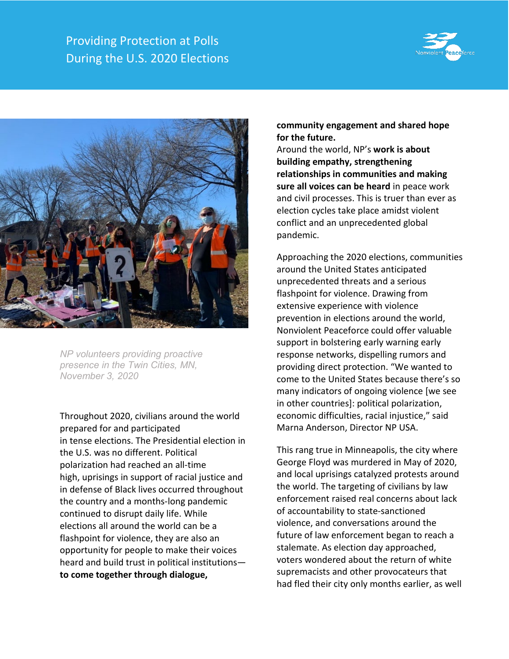



*NP volunteers providing proactive presence in the Twin Cities, MN, November 3, 2020*

Throughout 2020, civilians around the world prepared for and participated in tense elections. The Presidential election in the U.S. was no different. Political polarization had reached an all-time high, uprisings in support of racial justice and in defense of Black lives occurred throughout the country and a months-long pandemic continued to disrupt daily life. While elections all around the world can be a flashpoint for violence, they are also an opportunity for people to make their voices heard and build trust in political institutions **to come together through dialogue,** 

## **community engagement and shared hope for the future.**

Around the world, NP's **work is about building empathy, strengthening relationships in communities and making sure all voices can be heard** in peace work and civil processes. This is truer than ever as election cycles take place amidst violent conflict and an unprecedented global pandemic.

Approaching the 2020 elections, communities around the United States anticipated unprecedented threats and a serious flashpoint for violence. Drawing from extensive experience with violence prevention in elections around the world, Nonviolent Peaceforce could offer valuable support in bolstering early warning early response networks, dispelling rumors and providing direct protection. "We wanted to come to the United States because there's so many indicators of ongoing violence [we see in other countries]: political polarization, economic difficulties, racial injustice," said Marna Anderson, Director NP USA.

This rang true in Minneapolis, the city where George Floyd was murdered in May of 2020, and local uprisings catalyzed protests around the world. The targeting of civilians by law enforcement raised real concerns about lack of accountability to state-sanctioned violence, and conversations around the future of law enforcement began to reach a stalemate. As election day approached, voters wondered about the return of white supremacists and other provocateurs that had fled their city only months earlier, as well